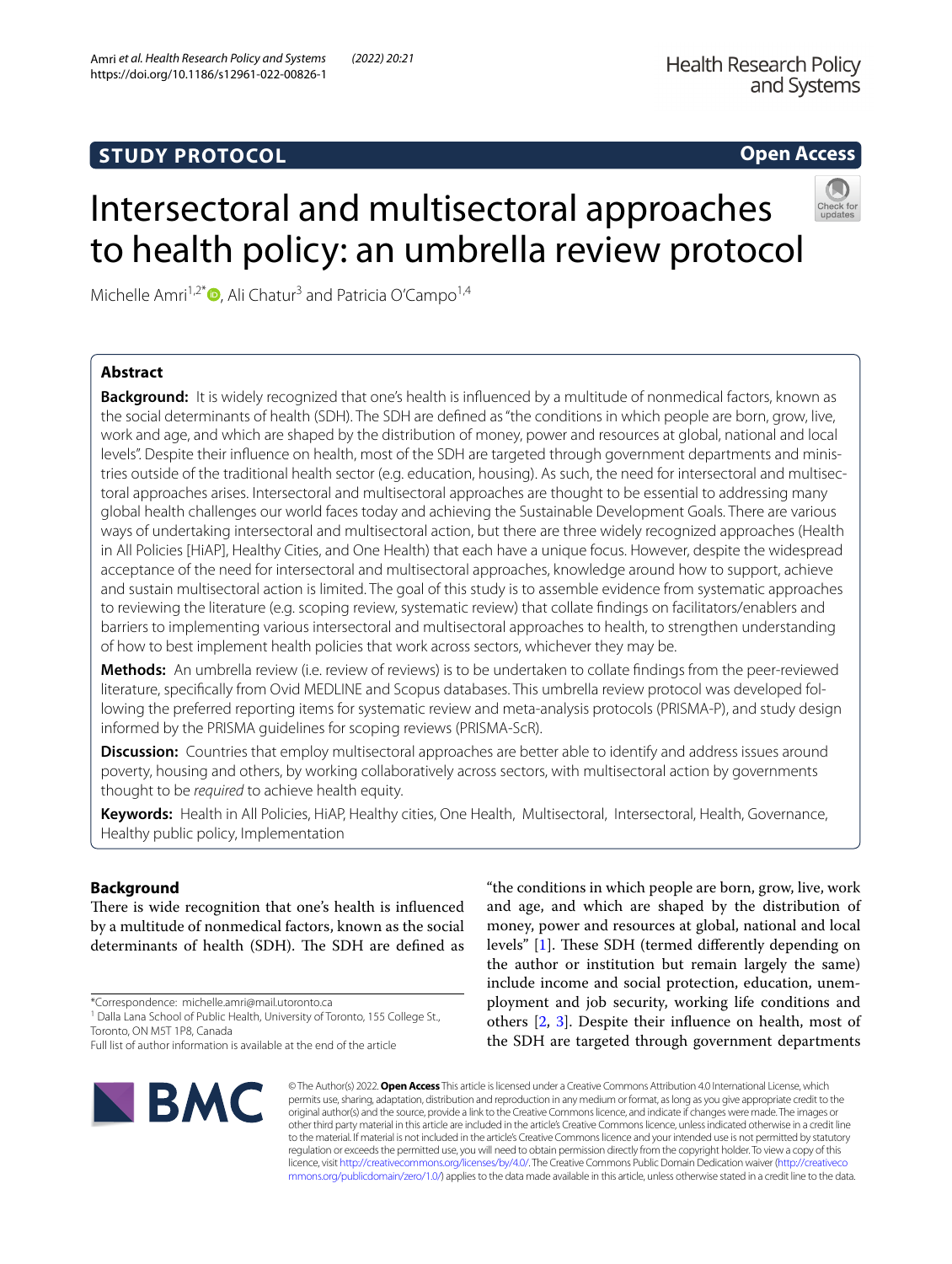## **STUDY PROTOCOL**

## **Open Access**



# Intersectoral and multisectoral approaches to health policy: an umbrella review protocol

Michelle Amri<sup>1,2\*</sup> $\bullet$ [,](http://orcid.org/0000-0001-6692-3340) Ali Chatur<sup>3</sup> and Patricia O'Campo<sup>1,4</sup>

## **Abstract**

**Background:** It is widely recognized that one's health is infuenced by a multitude of nonmedical factors, known as the social determinants of health (SDH). The SDH are defned as "the conditions in which people are born, grow, live, work and age, and which are shaped by the distribution of money, power and resources at global, national and local levels". Despite their infuence on health, most of the SDH are targeted through government departments and ministries outside of the traditional health sector (e.g. education, housing). As such, the need for intersectoral and multisectoral approaches arises. Intersectoral and multisectoral approaches are thought to be essential to addressing many global health challenges our world faces today and achieving the Sustainable Development Goals. There are various ways of undertaking intersectoral and multisectoral action, but there are three widely recognized approaches (Health in All Policies [HiAP], Healthy Cities, and One Health) that each have a unique focus. However, despite the widespread acceptance of the need for intersectoral and multisectoral approaches, knowledge around how to support, achieve and sustain multisectoral action is limited. The goal of this study is to assemble evidence from systematic approaches to reviewing the literature (e.g. scoping review, systematic review) that collate fndings on facilitators/enablers and barriers to implementing various intersectoral and multisectoral approaches to health, to strengthen understanding of how to best implement health policies that work across sectors, whichever they may be.

**Methods:** An umbrella review (i.e. review of reviews) is to be undertaken to collate fndings from the peer-reviewed literature, specifcally from Ovid MEDLINE and Scopus databases. This umbrella review protocol was developed following the preferred reporting items for systematic review and meta-analysis protocols (PRISMA-P), and study design informed by the PRISMA guidelines for scoping reviews (PRISMA-ScR).

**Discussion:** Countries that employ multisectoral approaches are better able to identify and address issues around poverty, housing and others, by working collaboratively across sectors, with multisectoral action by governments thought to be *required* to achieve health equity.

**Keywords:** Health in All Policies, HiAP, Healthy cities, One Health, Multisectoral, Intersectoral, Health, Governance, Healthy public policy, Implementation

### **Background**

There is wide recognition that one's health is influenced by a multitude of nonmedical factors, known as the social determinants of health (SDH). The SDH are defined as

\*Correspondence: michelle.amri@mail.utoronto.ca

Full list of author information is available at the end of the article



"the conditions in which people are born, grow, live, work and age, and which are shaped by the distribution of money, power and resources at global, national and local levels" [\[1](#page-4-0)]. These SDH (termed differently depending on the author or institution but remain largely the same) include income and social protection, education, unemployment and job security, working life conditions and others [\[2](#page-4-1), [3\]](#page-4-2). Despite their infuence on health, most of the SDH are targeted through government departments

© The Author(s) 2022. **Open Access** This article is licensed under a Creative Commons Attribution 4.0 International License, which permits use, sharing, adaptation, distribution and reproduction in any medium or format, as long as you give appropriate credit to the original author(s) and the source, provide a link to the Creative Commons licence, and indicate if changes were made. The images or other third party material in this article are included in the article's Creative Commons licence, unless indicated otherwise in a credit line to the material. If material is not included in the article's Creative Commons licence and your intended use is not permitted by statutory regulation or exceeds the permitted use, you will need to obtain permission directly from the copyright holder. To view a copy of this licence, visit [http://creativecommons.org/licenses/by/4.0/.](http://creativecommons.org/licenses/by/4.0/) The Creative Commons Public Domain Dedication waiver ([http://creativeco](http://creativecommons.org/publicdomain/zero/1.0/) [mmons.org/publicdomain/zero/1.0/](http://creativecommons.org/publicdomain/zero/1.0/)) applies to the data made available in this article, unless otherwise stated in a credit line to the data.

<sup>&</sup>lt;sup>1</sup> Dalla Lana School of Public Health, University of Toronto, 155 College St., Toronto, ON M5T 1P8, Canada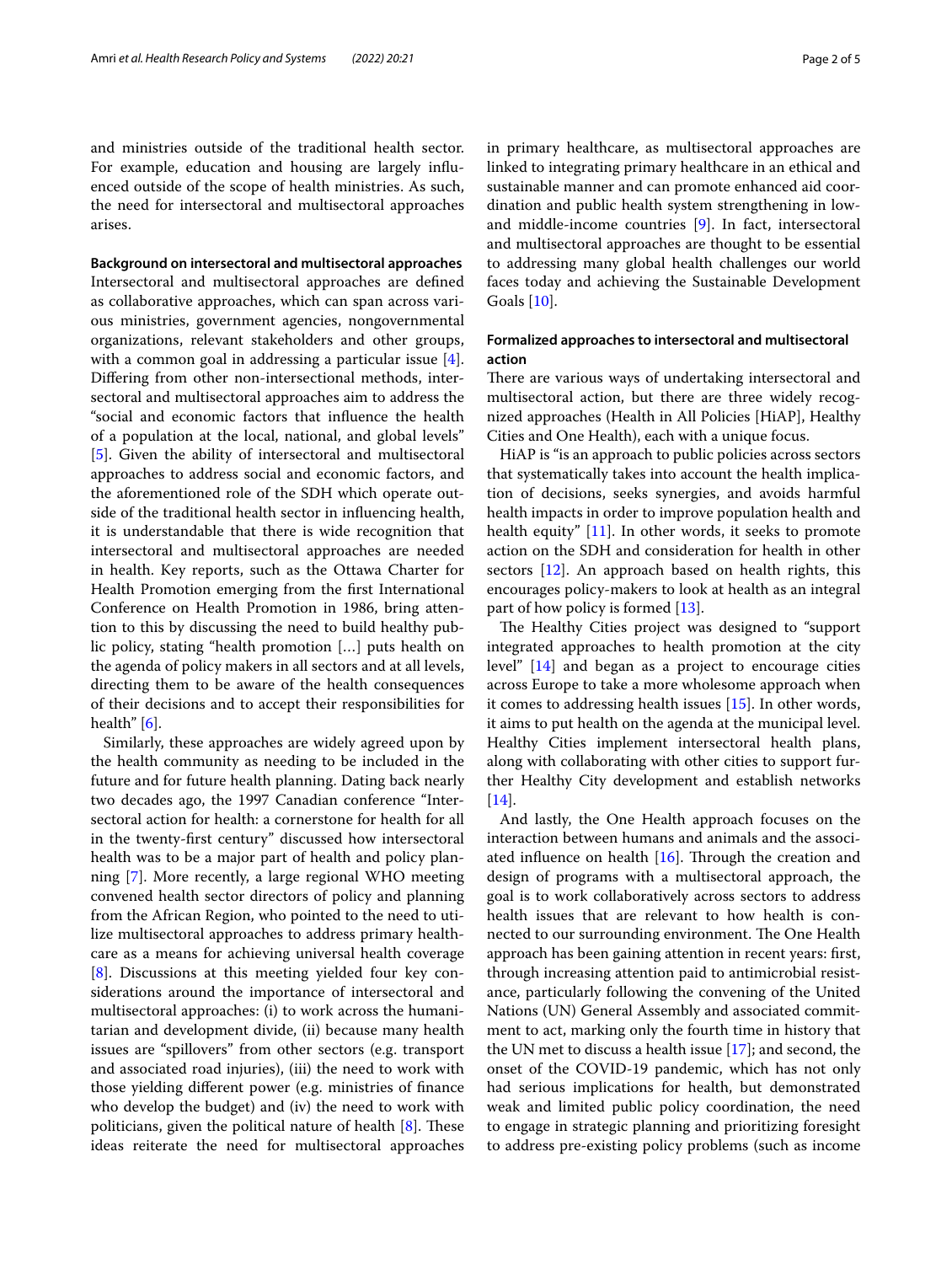and ministries outside of the traditional health sector. For example, education and housing are largely infuenced outside of the scope of health ministries. As such, the need for intersectoral and multisectoral approaches arises.

**Background on intersectoral and multisectoral approaches** Intersectoral and multisectoral approaches are defned as collaborative approaches, which can span across various ministries, government agencies, nongovernmental organizations, relevant stakeholders and other groups, with a common goal in addressing a particular issue [\[4](#page-4-3)]. Difering from other non-intersectional methods, intersectoral and multisectoral approaches aim to address the "social and economic factors that infuence the health of a population at the local, national, and global levels" [[5\]](#page-4-4). Given the ability of intersectoral and multisectoral approaches to address social and economic factors, and the aforementioned role of the SDH which operate outside of the traditional health sector in infuencing health, it is understandable that there is wide recognition that intersectoral and multisectoral approaches are needed in health. Key reports, such as the Ottawa Charter for Health Promotion emerging from the frst International Conference on Health Promotion in 1986, bring attention to this by discussing the need to build healthy public policy, stating "health promotion […] puts health on the agenda of policy makers in all sectors and at all levels, directing them to be aware of the health consequences of their decisions and to accept their responsibilities for health" [\[6\]](#page-4-5).

Similarly, these approaches are widely agreed upon by the health community as needing to be included in the future and for future health planning. Dating back nearly two decades ago, the 1997 Canadian conference "Intersectoral action for health: a cornerstone for health for all in the twenty-frst century" discussed how intersectoral health was to be a major part of health and policy planning [[7\]](#page-4-6). More recently, a large regional WHO meeting convened health sector directors of policy and planning from the African Region, who pointed to the need to utilize multisectoral approaches to address primary healthcare as a means for achieving universal health coverage [[8\]](#page-4-7). Discussions at this meeting yielded four key considerations around the importance of intersectoral and multisectoral approaches: (i) to work across the humanitarian and development divide, (ii) because many health issues are "spillovers" from other sectors (e.g. transport and associated road injuries), (iii) the need to work with those yielding diferent power (e.g. ministries of fnance who develop the budget) and (iv) the need to work with politicians, given the political nature of health  $[8]$  $[8]$  $[8]$ . These ideas reiterate the need for multisectoral approaches in primary healthcare, as multisectoral approaches are linked to integrating primary healthcare in an ethical and sustainable manner and can promote enhanced aid coordination and public health system strengthening in lowand middle-income countries [\[9\]](#page-4-8). In fact, intersectoral and multisectoral approaches are thought to be essential to addressing many global health challenges our world faces today and achieving the Sustainable Development Goals [[10\]](#page-4-9).

#### **Formalized approaches to intersectoral and multisectoral action**

There are various ways of undertaking intersectoral and multisectoral action, but there are three widely recognized approaches (Health in All Policies [HiAP], Healthy Cities and One Health), each with a unique focus.

HiAP is "is an approach to public policies across sectors that systematically takes into account the health implication of decisions, seeks synergies, and avoids harmful health impacts in order to improve population health and health equity" [[11\]](#page-4-10). In other words, it seeks to promote action on the SDH and consideration for health in other sectors [\[12\]](#page-4-11). An approach based on health rights, this encourages policy-makers to look at health as an integral part of how policy is formed [[13](#page-4-12)].

The Healthy Cities project was designed to "support integrated approaches to health promotion at the city level" [[14\]](#page-4-13) and began as a project to encourage cities across Europe to take a more wholesome approach when it comes to addressing health issues [\[15](#page-4-14)]. In other words, it aims to put health on the agenda at the municipal level. Healthy Cities implement intersectoral health plans, along with collaborating with other cities to support further Healthy City development and establish networks [[14\]](#page-4-13).

And lastly, the One Health approach focuses on the interaction between humans and animals and the associated influence on health  $[16]$  $[16]$  $[16]$ . Through the creation and design of programs with a multisectoral approach, the goal is to work collaboratively across sectors to address health issues that are relevant to how health is connected to our surrounding environment. The One Health approach has been gaining attention in recent years: frst, through increasing attention paid to antimicrobial resistance, particularly following the convening of the United Nations (UN) General Assembly and associated commitment to act, marking only the fourth time in history that the UN met to discuss a health issue [\[17](#page-4-16)]; and second, the onset of the COVID-19 pandemic, which has not only had serious implications for health, but demonstrated weak and limited public policy coordination, the need to engage in strategic planning and prioritizing foresight to address pre-existing policy problems (such as income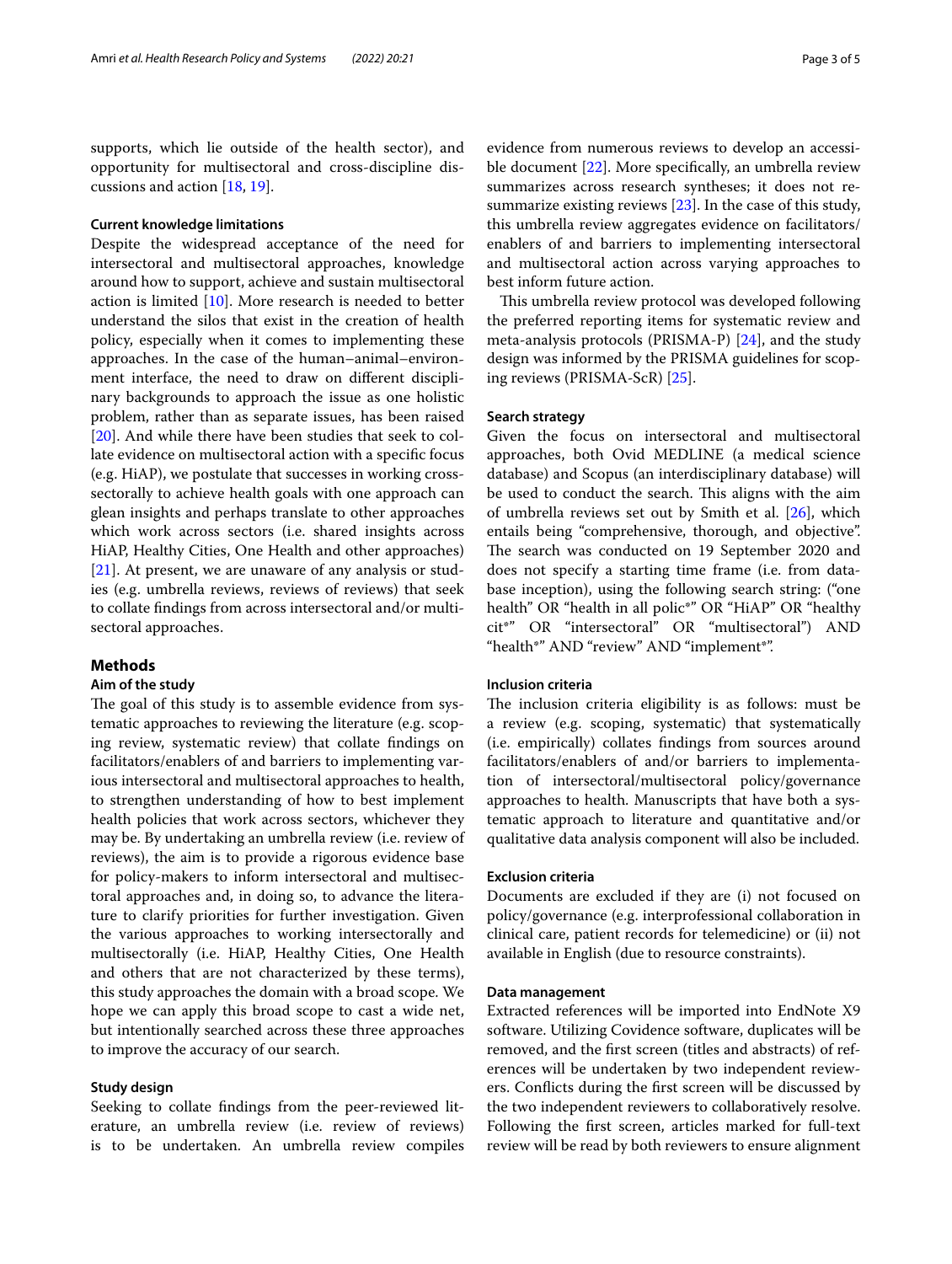supports, which lie outside of the health sector), and opportunity for multisectoral and cross-discipline discussions and action [[18,](#page-4-17) [19](#page-4-18)].

#### **Current knowledge limitations**

Despite the widespread acceptance of the need for intersectoral and multisectoral approaches, knowledge around how to support, achieve and sustain multisectoral action is limited [\[10](#page-4-9)]. More research is needed to better understand the silos that exist in the creation of health policy, especially when it comes to implementing these approaches. In the case of the human–animal–environment interface, the need to draw on diferent disciplinary backgrounds to approach the issue as one holistic problem, rather than as separate issues, has been raised [[20\]](#page-4-19). And while there have been studies that seek to collate evidence on multisectoral action with a specifc focus (e.g. HiAP), we postulate that successes in working crosssectorally to achieve health goals with one approach can glean insights and perhaps translate to other approaches which work across sectors (i.e. shared insights across HiAP, Healthy Cities, One Health and other approaches) [[21\]](#page-4-20). At present, we are unaware of any analysis or studies (e.g. umbrella reviews, reviews of reviews) that seek to collate fndings from across intersectoral and/or multisectoral approaches.

#### **Methods**

#### **Aim of the study**

The goal of this study is to assemble evidence from systematic approaches to reviewing the literature (e.g. scoping review, systematic review) that collate fndings on facilitators/enablers of and barriers to implementing various intersectoral and multisectoral approaches to health, to strengthen understanding of how to best implement health policies that work across sectors, whichever they may be. By undertaking an umbrella review (i.e. review of reviews), the aim is to provide a rigorous evidence base for policy-makers to inform intersectoral and multisectoral approaches and, in doing so, to advance the literature to clarify priorities for further investigation. Given the various approaches to working intersectorally and multisectorally (i.e. HiAP, Healthy Cities, One Health and others that are not characterized by these terms), this study approaches the domain with a broad scope. We hope we can apply this broad scope to cast a wide net, but intentionally searched across these three approaches to improve the accuracy of our search.

#### **Study design**

Seeking to collate fndings from the peer-reviewed literature, an umbrella review (i.e. review of reviews) is to be undertaken. An umbrella review compiles evidence from numerous reviews to develop an accessible document [\[22](#page-4-21)]. More specifcally, an umbrella review summarizes across research syntheses; it does not resummarize existing reviews [\[23\]](#page-4-22). In the case of this study, this umbrella review aggregates evidence on facilitators/ enablers of and barriers to implementing intersectoral and multisectoral action across varying approaches to best inform future action.

This umbrella review protocol was developed following the preferred reporting items for systematic review and meta-analysis protocols (PRISMA-P) [[24](#page-4-23)], and the study design was informed by the PRISMA guidelines for scoping reviews (PRISMA-ScR) [\[25](#page-4-24)].

#### **Search strategy**

Given the focus on intersectoral and multisectoral approaches, both Ovid MEDLINE (a medical science database) and Scopus (an interdisciplinary database) will be used to conduct the search. This aligns with the aim of umbrella reviews set out by Smith et al. [[26\]](#page-4-25), which entails being "comprehensive, thorough, and objective". The search was conducted on 19 September 2020 and does not specify a starting time frame (i.e. from database inception), using the following search string: ("one health" OR "health in all polic\*" OR "HiAP" OR "healthy cit\*" OR "intersectoral" OR "multisectoral") AND "health\*" AND "review" AND "implement\*".

#### **Inclusion criteria**

The inclusion criteria eligibility is as follows: must be a review (e.g. scoping, systematic) that systematically (i.e. empirically) collates fndings from sources around facilitators/enablers of and/or barriers to implementation of intersectoral/multisectoral policy/governance approaches to health. Manuscripts that have both a systematic approach to literature and quantitative and/or qualitative data analysis component will also be included.

#### **Exclusion criteria**

Documents are excluded if they are (i) not focused on policy/governance (e.g. interprofessional collaboration in clinical care, patient records for telemedicine) or (ii) not available in English (due to resource constraints).

#### **Data management**

Extracted references will be imported into EndNote X9 software. Utilizing Covidence software, duplicates will be removed, and the frst screen (titles and abstracts) of references will be undertaken by two independent reviewers. Conficts during the frst screen will be discussed by the two independent reviewers to collaboratively resolve. Following the frst screen, articles marked for full-text review will be read by both reviewers to ensure alignment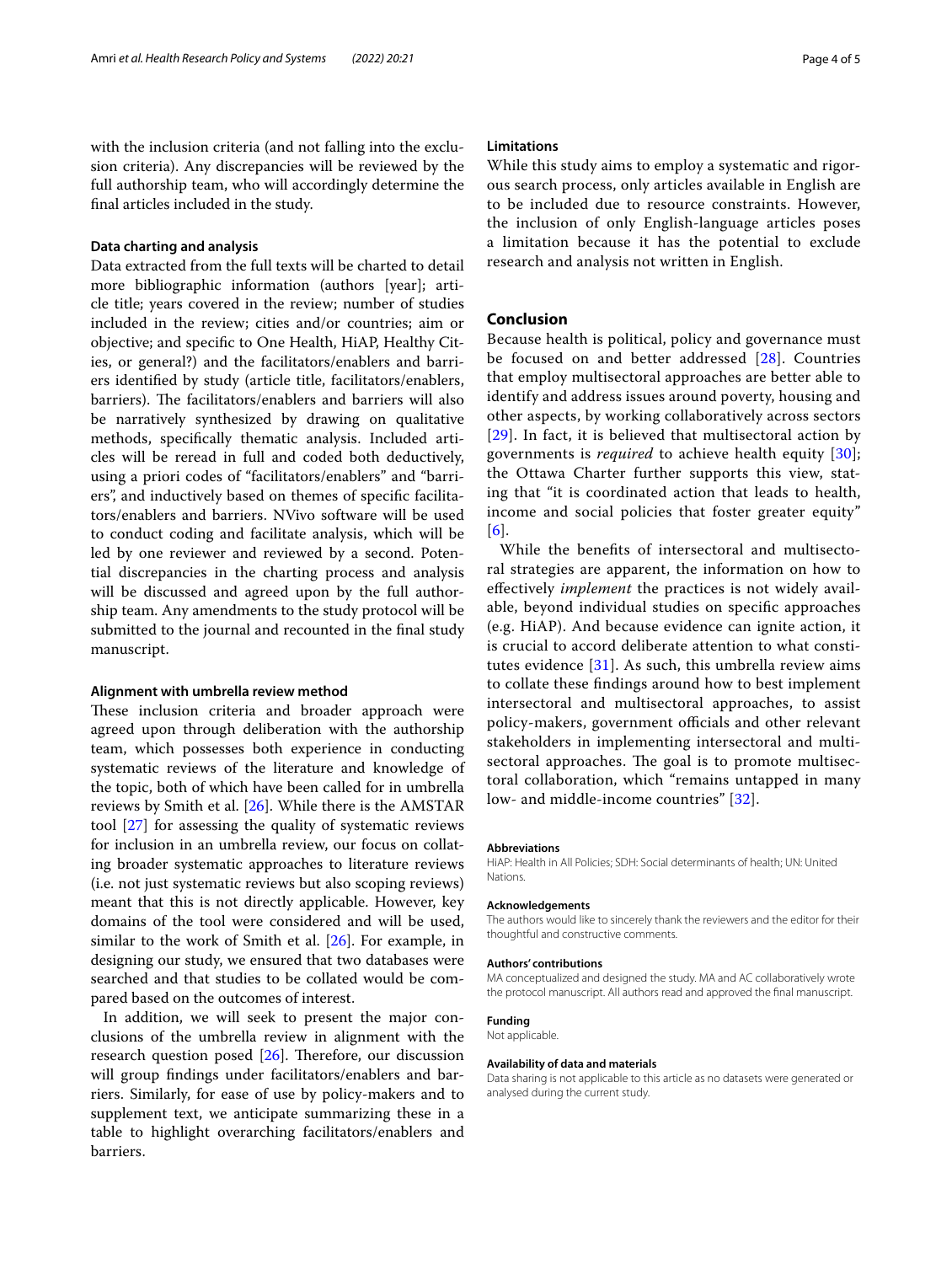with the inclusion criteria (and not falling into the exclusion criteria). Any discrepancies will be reviewed by the full authorship team, who will accordingly determine the fnal articles included in the study.

#### **Data charting and analysis**

Data extracted from the full texts will be charted to detail more bibliographic information (authors [year]; article title; years covered in the review; number of studies included in the review; cities and/or countries; aim or objective; and specifc to One Health, HiAP, Healthy Cities, or general?) and the facilitators/enablers and barriers identifed by study (article title, facilitators/enablers, barriers). The facilitators/enablers and barriers will also be narratively synthesized by drawing on qualitative methods, specifcally thematic analysis. Included articles will be reread in full and coded both deductively, using a priori codes of "facilitators/enablers" and "barriers", and inductively based on themes of specifc facilitators/enablers and barriers. NVivo software will be used to conduct coding and facilitate analysis, which will be led by one reviewer and reviewed by a second. Potential discrepancies in the charting process and analysis will be discussed and agreed upon by the full authorship team. Any amendments to the study protocol will be submitted to the journal and recounted in the fnal study manuscript.

#### **Alignment with umbrella review method**

These inclusion criteria and broader approach were agreed upon through deliberation with the authorship team, which possesses both experience in conducting systematic reviews of the literature and knowledge of the topic, both of which have been called for in umbrella reviews by Smith et al. [[26](#page-4-25)]. While there is the AMSTAR tool [[27\]](#page-4-26) for assessing the quality of systematic reviews for inclusion in an umbrella review, our focus on collating broader systematic approaches to literature reviews (i.e. not just systematic reviews but also scoping reviews) meant that this is not directly applicable. However, key domains of the tool were considered and will be used, similar to the work of Smith et al. [[26\]](#page-4-25). For example, in designing our study, we ensured that two databases were searched and that studies to be collated would be compared based on the outcomes of interest.

In addition, we will seek to present the major conclusions of the umbrella review in alignment with the research question posed  $[26]$  $[26]$ . Therefore, our discussion will group fndings under facilitators/enablers and barriers. Similarly, for ease of use by policy-makers and to supplement text, we anticipate summarizing these in a table to highlight overarching facilitators/enablers and barriers.

#### **Limitations**

While this study aims to employ a systematic and rigorous search process, only articles available in English are to be included due to resource constraints. However, the inclusion of only English-language articles poses a limitation because it has the potential to exclude research and analysis not written in English.

#### **Conclusion**

Because health is political, policy and governance must be focused on and better addressed [[28\]](#page-4-27). Countries that employ multisectoral approaches are better able to identify and address issues around poverty, housing and other aspects, by working collaboratively across sectors [[29](#page-4-28)]. In fact, it is believed that multisectoral action by governments is *required* to achieve health equity [[30](#page-4-29)]; the Ottawa Charter further supports this view, stating that "it is coordinated action that leads to health, income and social policies that foster greater equity" [[6](#page-4-5)].

While the benefts of intersectoral and multisectoral strategies are apparent, the information on how to efectively *implement* the practices is not widely available, beyond individual studies on specifc approaches (e.g. HiAP). And because evidence can ignite action, it is crucial to accord deliberate attention to what constitutes evidence [[31\]](#page-4-30). As such, this umbrella review aims to collate these fndings around how to best implement intersectoral and multisectoral approaches, to assist policy-makers, government officials and other relevant stakeholders in implementing intersectoral and multisectoral approaches. The goal is to promote multisectoral collaboration, which "remains untapped in many low- and middle-income countries" [[32\]](#page-4-31).

#### **Abbreviations**

HiAP: Health in All Policies; SDH: Social determinants of health; UN: United Nations.

#### **Acknowledgements**

The authors would like to sincerely thank the reviewers and the editor for their thoughtful and constructive comments.

#### **Authors' contributions**

MA conceptualized and designed the study. MA and AC collaboratively wrote the protocol manuscript. All authors read and approved the fnal manuscript.

#### **Funding**

Not applicable.

#### **Availability of data and materials**

Data sharing is not applicable to this article as no datasets were generated or analysed during the current study.